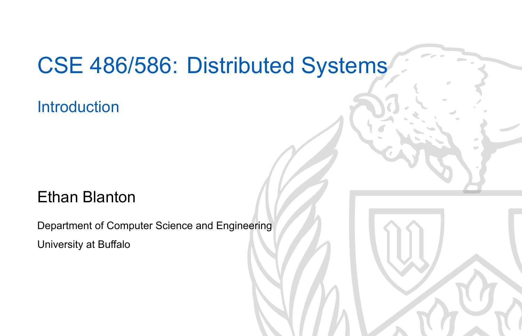### CSE 486/586: Distributed Systems

**Introduction** 

#### Ethan Blanton

Department of Computer Science and Engineering University at Buffalo

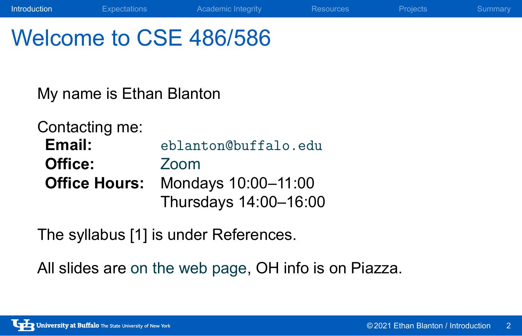### Welcome to CSE 486/586

My name is Ethan Blanton

Contacting me:<br>Email: **Email:** eblanton@buffalo.edu **Office:** Zoom **Office Hours:** Mondays 10:00–11:00 Thursdays 14:00–16:00

The syllabus [1] is under References.

All slides are on the web page, OH info is on Piazza.

**Introduction** Expectations Academic Integrity Resources Projects Summary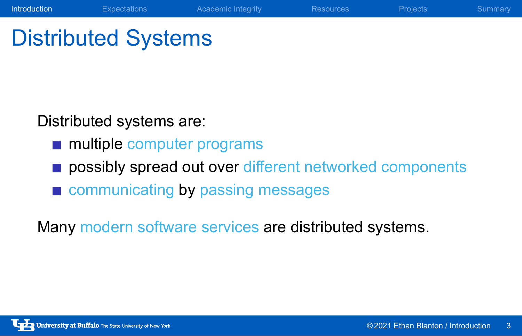# Distributed Systems

Distributed systems are:

- **multiple computer programs**
- possibly spread out over different networked components

**Introduction** Expectations Academic Integrity Resources Projects Summary

communicating by passing messages

Many modern software services are distributed systems.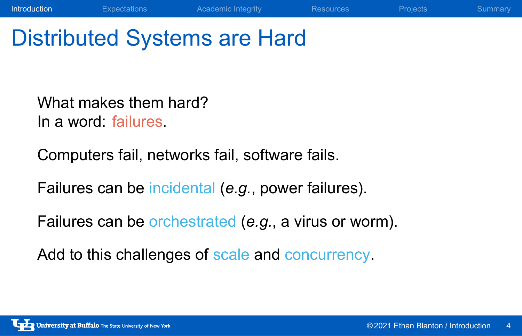# Distributed Systems are Hard

What makes them hard? In a word: failures.

Computers fail, networks fail, software fails.

Failures can be incidental (*e.g.*, power failures).

Failures can be orchestrated (*e.g.*, a virus or worm).

**Introduction** Expectations Academic Integrity Resources Projects Summary

Add to this challenges of scale and concurrency.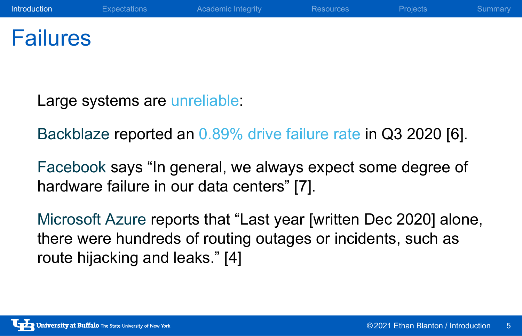### Failures

Large systems are unreliable:

Backblaze reported an 0.89% drive failure rate in Q3 2020 [6].

Facebook says "In general, we always expect some degree of hardware failure in our data centers" [7].

Microsoft Azure reports that "Last year [written Dec 2020] alone, there were hundreds of routing outages or incidents, such as route hijacking and leaks." [4]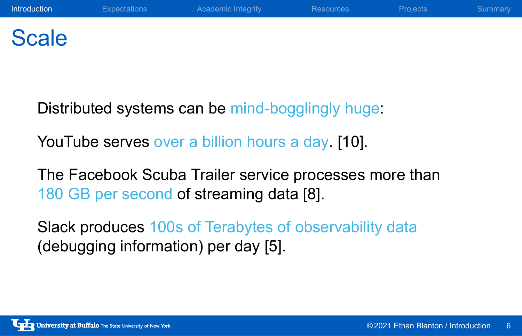### **Scale**

Distributed systems can be mind-bogglingly huge:

YouTube serves over a billion hours a day. [10].

The Facebook Scuba Trailer service processes more than 180 GB per second of streaming data [8].

Slack produces 100s of Terabytes of observability data (debugging information) per day [5].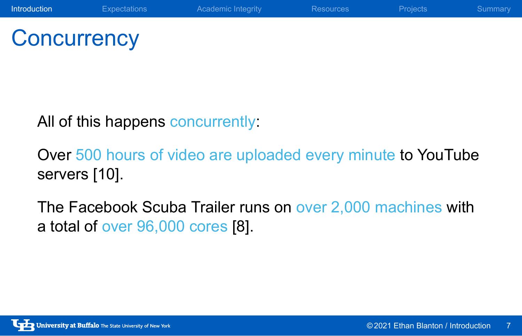**Concurrency** 

All of this happens concurrently:

Over 500 hours of video are uploaded every minute to YouTube servers [10].

The Facebook Scuba Trailer runs on over 2,000 machines with a total of over 96,000 cores [8].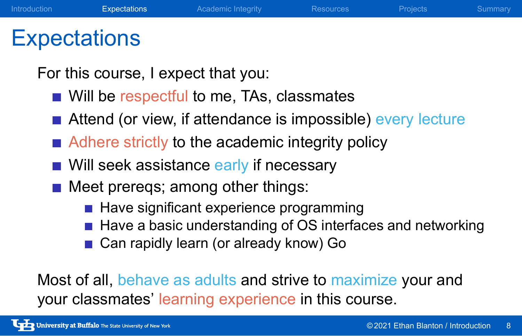### **Expectations**

For this course, I expect that you:

- Will be respectful to me, TAs, classmates
- Attend (or view, if attendance is impossible) every lecture
- Adhere strictly to the academic integrity policy
- Will seek assistance early if necessary
- Meet prereqs; among other things:
	- Have significant experience programming
	- Have a basic understanding of OS interfaces and networking
	- Can rapidly learn (or already know) Go

Most of all, behave as adults and strive to maximize your and your classmates' learning experience in this course.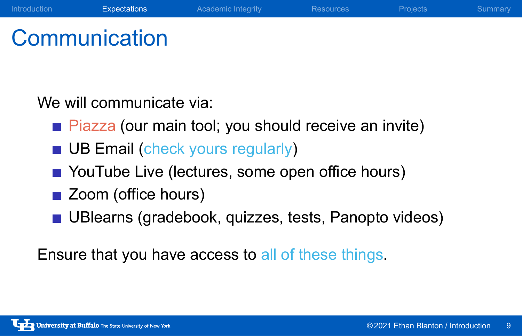### **Communication**

We will communicate via:

**Piazza (our main tool; you should receive an invite)** 

Introduction **Expectations** Academic Integrity Resources Projects Summary

- **UB Email (check yours regularly)**
- YouTube Live (lectures, some open office hours)
- Zoom (office hours)
- UBlearns (gradebook, quizzes, tests, Panopto videos)

Ensure that you have access to all of these things.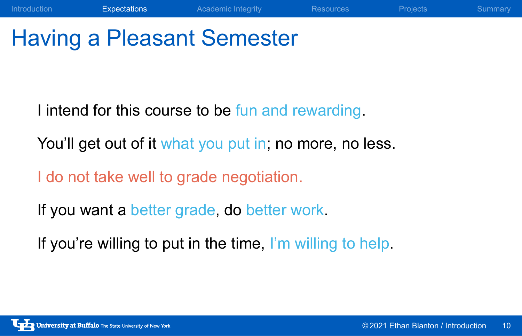# Having a Pleasant Semester

I intend for this course to be fun and rewarding.

You'll get out of it what you put in; no more, no less.

Introduction Expectations Academic Integrity Resources Projects Summary

I do not take well to grade negotiation.

If you want a better grade, do better work.

If you're willing to put in the time, I'm willing to help.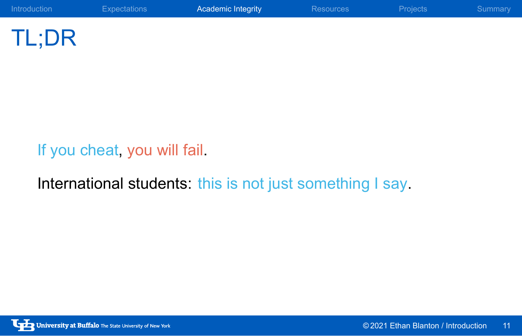

TL;DR

If you cheat, you will fail.

International students: this is not just something I say.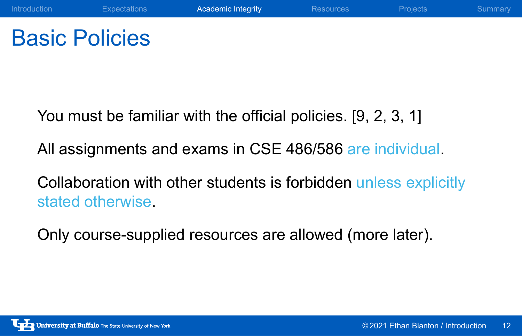## Basic Policies

You must be familiar with the official policies. [9, 2, 3, 1]

All assignments and exams in CSE 486/586 are individual.

Collaboration with other students is forbidden unless explicitly stated otherwise.

Only course-supplied resources are allowed (more later).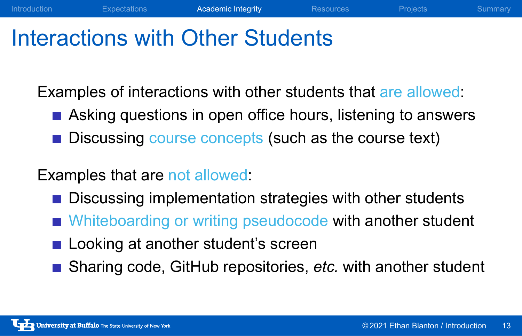### Interactions with Other Students

Examples of interactions with other students that are allowed:

**Asking questions in open office hours, listening to answers** 

Introduction **Expectations Academic Integrity** Resources Projects Summary

Discussing course concepts (such as the course text)

#### Examples that are not allowed:

- Discussing implementation strategies with other students
- Whiteboarding or writing pseudocode with another student
- Looking at another student's screen
- Sharing code, GitHub repositories, *etc.* with another student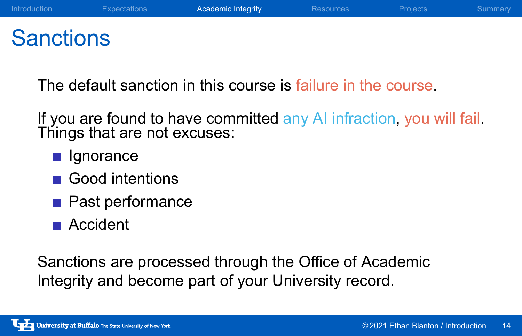### **Sanctions**

The default sanction in this course is failure in the course.

If you are found to have committed any AI infraction, you will fail. Things that are not excuses:

- **Ignorance**
- Good intentions
- **Past performance**
- Accident

Sanctions are processed through the Office of Academic Integrity and become part of your University record.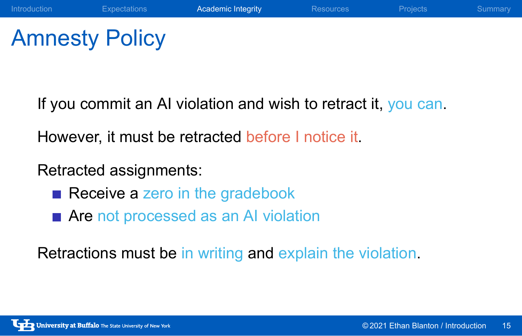# Amnesty Policy

If you commit an AI violation and wish to retract it, you can.

However, it must be retracted before I notice it.

#### Retracted assignments:

- Receive a zero in the gradebook
- **Are** not processed as an AI violation

Retractions must be in writing and explain the violation.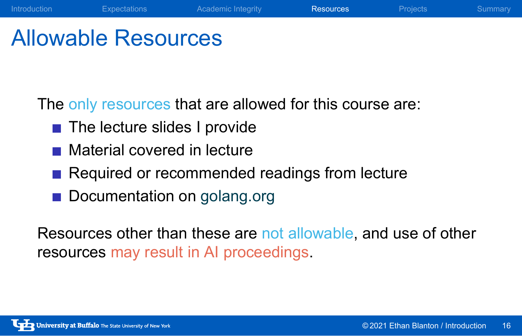### Allowable Resources

The only resources that are allowed for this course are:

- The lecture slides I provide
- Material covered in lecture
- Required or recommended readings from lecture
- Documentation on golang.org

Resources other than these are not allowable, and use of other resources may result in AI proceedings.

Introduction Expectations Academic Integrity Resources Projects Summary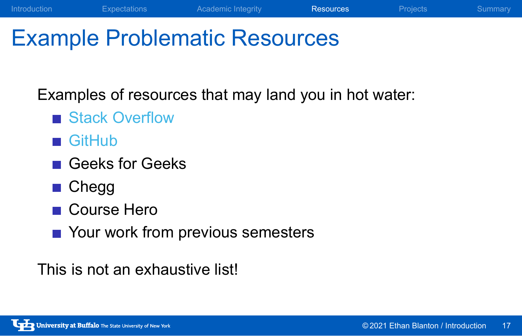## Example Problematic Resources

Examples of resources that may land you in hot water:

Introduction **Expectations** Academic Integrity **Resources** Projects Summary

- Stack Overflow
- GitHub
- Geeks for Geeks
- Chegg
- Course Hero
- Your work from previous semesters

This is not an exhaustive list!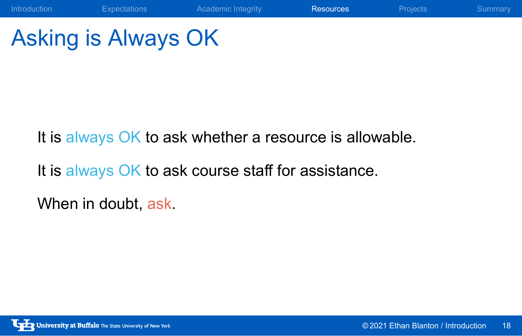# Asking is Always OK

It is always OK to ask whether a resource is allowable.

Introduction Expectations Academic Integrity **Resources** Projects Summary

It is always OK to ask course staff for assistance.

When in doubt, ask.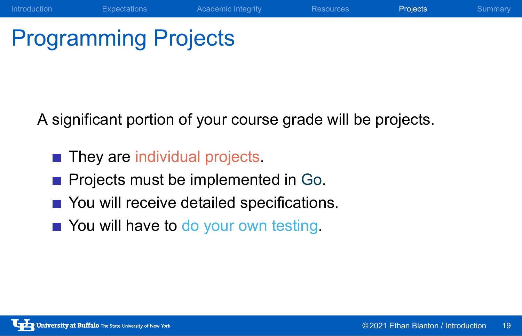# Programming Projects

A significant portion of your course grade will be projects.

Introduction **Expectations** Academic Integrity Resources **Projects** Summary

- **They are individual projects**
- **Projects must be implemented in Go.**
- You will receive detailed specifications.
- You will have to do your own testing.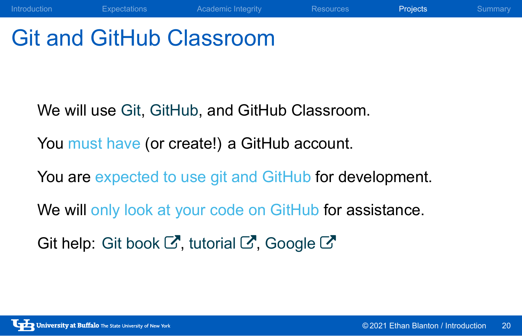# Git and GitHub Classroom

We will use Git, GitHub, and GitHub Classroom.

You must have (or create!) a GitHub account.

You are expected to use git and GitHub for development.

**Introduction** Expectations Academic Integrity Resources **Projects** Summary

We will only look at your code on GitHub for assistance.

Git help: Git book  $\mathbb{Z}$ , tutorial  $\mathbb{Z}$ , Google  $\mathbb{Z}$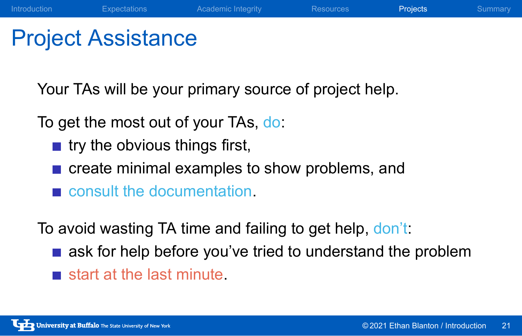### Project Assistance

Your TAs will be your primary source of project help.

To get the most out of your TAs, do:

- $\blacksquare$  try the obvious things first,
- create minimal examples to show problems, and
- consult the documentation.

To avoid wasting TA time and failing to get help, don't:

ask for help before you've tried to understand the problem

**Introduction** Expectations Academic Integrity Resources **Projects** Summary

start at the last minute.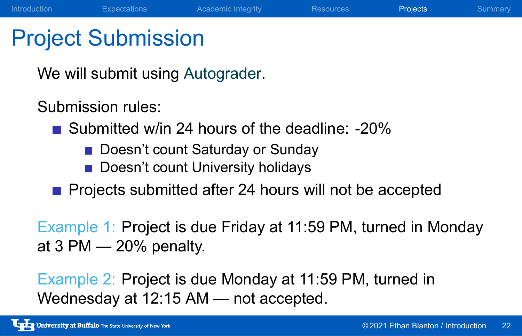### Project Submission

We will submit using Autograder.

Submission rules:

- Submitted w/in 24 hours of the deadline: -20%
	- Doesn't count Saturday or Sunday
	- Doesn't count University holidays
- **Projects submitted after 24 hours will not be accepted**

Example 1: Project is due Friday at 11:59 PM, turned in Monday at 3 PM — 20% penalty.

Introduction Expectations Academic Integrity Resources Projects Summary

Example 2: Project is due Monday at 11:59 PM, turned in Wednesday at 12:15 AM — not accepted.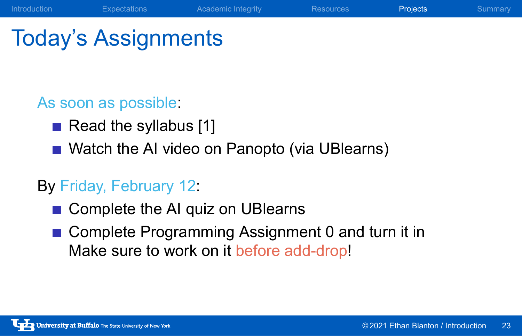# Today's Assignments

#### As soon as possible:

- Read the syllabus [1]
- Watch the AI video on Panopto (via UBlearns)

**Introduction** Expectations Academic Integrity Resources **Projects** Summary

#### By Friday, February 12:

- Complete the AI quiz on UBlearns
- Complete Programming Assignment 0 and turn it in Make sure to work on it before add-drop!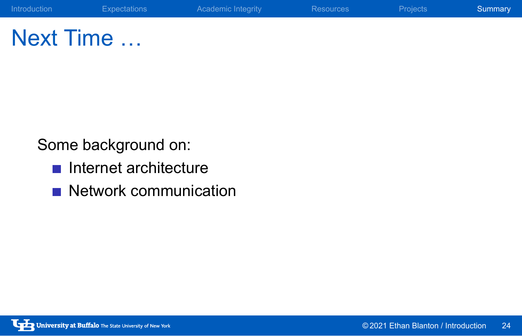Next Time …

Some background on:

- Internet architecture
- Network communication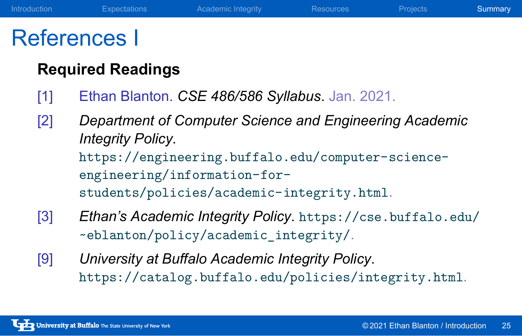### References I

#### **Required Readings**

- [1] Ethan Blanton. *CSE 486/586 Syllabus*. Jan. 2021.
- [2] *Department of Computer Science and Engineering Academic Integrity Policy*. https://engineering.buffalo.edu/computer-scienceengineering/information-forstudents/policies/academic-integrity.html.
- [3] *Ethan's Academic Integrity Policy*. https://cse.buffalo.edu/ ~eblanton/policy/academic\_integrity/.
- [9] *University at Buffalo Academic Integrity Policy*. https://catalog.buffalo.edu/policies/integrity.html.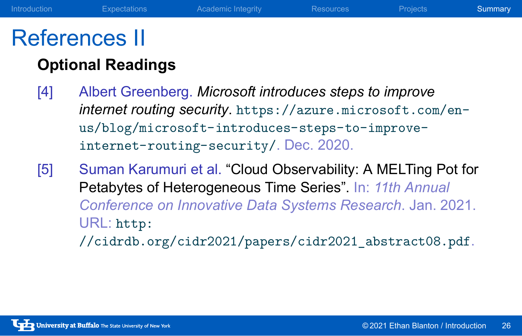### References II

#### **Optional Readings**

- [4] Albert Greenberg. *Microsoft introduces steps to improve internet routing security*. https://azure.microsoft.com/enus/blog/microsoft-introduces-steps-to-improveinternet-routing-security/. Dec. 2020.
- [5] Suman Karumuri et al. "Cloud Observability: A MELTing Pot for Petabytes of Heterogeneous Time Series". In: *11th Annual Conference on Innovative Data Systems Research*. Jan. 2021. URL: http: //cidrdb.org/cidr2021/papers/cidr2021\_abstract08.pdf.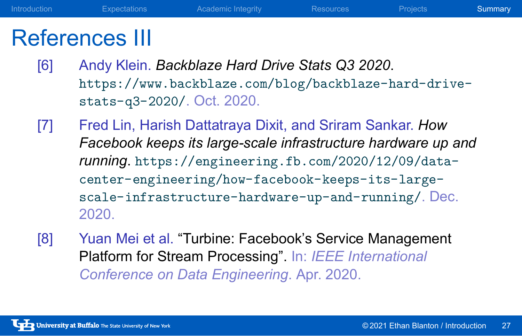### References III

[6] Andy Klein. *Backblaze Hard Drive Stats Q3 2020*. https://www.backblaze.com/blog/backblaze-hard-drivestats-q3-2020/. Oct. 2020.

Introduction **Expectations** Academic Integrity Resources Projects Summary

- [7] Fred Lin, Harish Dattatraya Dixit, and Sriram Sankar. *How Facebook keeps its large-scale infrastructure hardware up and running*. https://engineering.fb.com/2020/12/09/datacenter-engineering/how-facebook-keeps-its-largescale-infrastructure-hardware-up-and-running/. Dec. 2020.
- [8] Yuan Mei et al. "Turbine: Facebook's Service Management Platform for Stream Processing". In: *IEEE International Conference on Data Engineering*. Apr. 2020.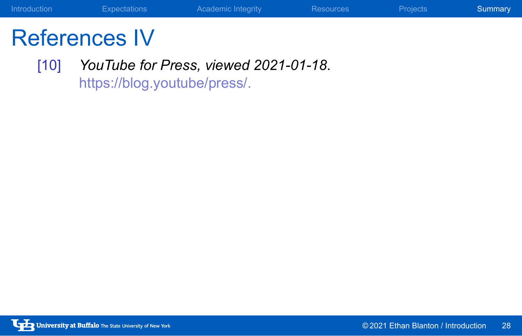# References IV

[10] *YouTube for Press, viewed 2021-01-18*. https://blog.youtube/press/.

Introduction **Expectations** Academic Integrity Resources Projects Summary